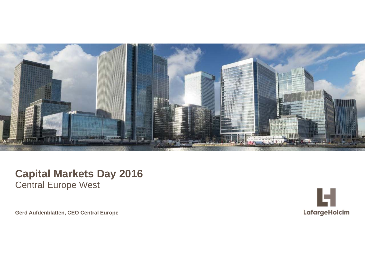

### **Capital Markets Day 2016** Central Europe West

**Gerd Aufdenblatten, CEO Central Europe**

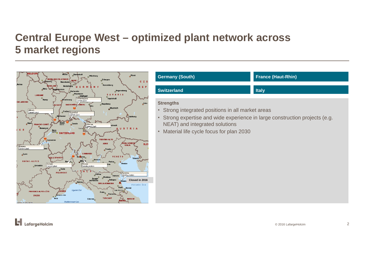## **Central Europe West – optimized plant network across 5 market regions**



| <b>Germany (South)</b>                                                                                                                                                                                                              | <b>France (Haut-Rhin)</b> |
|-------------------------------------------------------------------------------------------------------------------------------------------------------------------------------------------------------------------------------------|---------------------------|
| <b>Switzerland</b>                                                                                                                                                                                                                  | <b>Italy</b>              |
| <b>Strengths</b><br>• Strong integrated positions in all market areas<br>• Strong expertise and wide experience in large construction projects (e.g.<br>NEAT) and integrated solutions<br>• Material life cycle focus for plan 2030 |                           |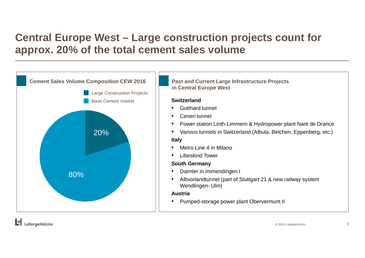# **Central Europe West – Large construction projects count for approx. 20% of the total cement sales volume**

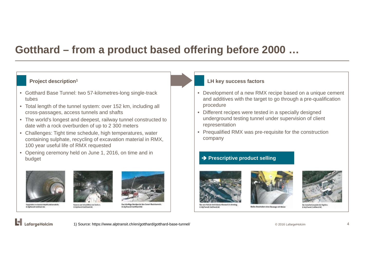## **Gotthard – from a product based offering before 2000 …**

#### **Project description1**

- Gotthard Base Tunnel: two 57-kilometres-long single-track tubes
- Total length of the tunnel system: over 152 km, including all cross-passages, access tunnels and shafts
- The world's longest and deepest, railway tunnel constructed to date with a rock overburden of up to 2 300 meters
- Challenges: Tight time schedule, high temperatures, water containing sulphate, recycling of excavation material in RMX, 100 year useful life of RMX requested
- Opening ceremony held on June 1, 2016, on time and in budget









Das künftige Nordportal des Ceneri-Basis! @ AlpTransit Gotthard AG

#### **LH key success factors**

- Development of a new RMX recipe based on a unique cement and additives with the target to go through a pre-qualification procedure
- Different recipes were tested in a specially designed underground testing tunnel under supervision of client representation
- Prequalified RMX was pre-requisite for the construction company

#### **→ Prescriptive product selling**



**D AleTransit Cotthard AG** 





olatz bei Sigir C AlpTransit Cotthard AC

H LafargeHolcim

@ AlpTransit Gotthard AG

1) Source: https://www.alptransit.ch/en/gotthard/gotthard-base-tunnel/

© 2016 LafargeHolcim 4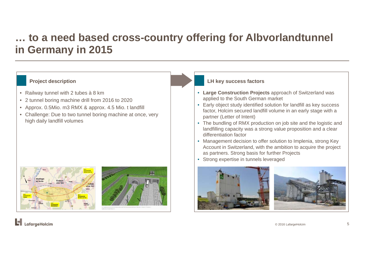# **… to a need based cross-country offering for Albvorlandtunnel in Germany in 2015**

- Railway tunnel with 2 tubes à 8 km
- 2 tunnel boring machine drill from 2016 to 2020
- Approx. 0.5Mio. m3 RMX & approx. 4.5 Mio. t landfill
- Challenge: Due to two tunnel boring machine at once, very high daily landfill volumes





#### **Project description LH** key success factors

- **Large Construction Projects** approach of Switzerland was applied to the South German market
- Early object study identified solution for landfill as key success factor, Holcim secured landfill volume in an early stage with a partner (Letter of Intent)
- The bundling of RMX production on job site and the logistic and landfilling capacity was a strong value proposition and a clear differentiation factor
- Management decision to offer solution to Implenia, strong Key Account in Switzerland, with the ambition to acquire the project as partners. Strong basis for further Projects
- Strong expertise in tunnels leveraged





© 2016 LafargeHolcim 5

ы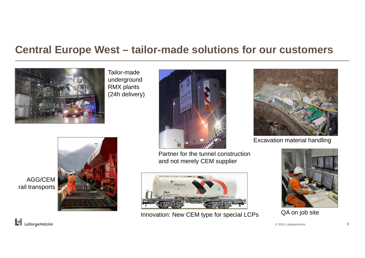## **Central Europe West – tailor-made solutions for our customers**



Tailor-made underground RMX plants (24h delivery)



Partner for the tunnel construction and not merely CEM supplier



Innovation: New CEM type for special LCPs QA on job site



Excavation material handling



© 2016 LafargeHolcim 6



AGG/CEM rail transports

 $\left| \rule{0pt}{3.5mm} \right|$  LafargeHolcim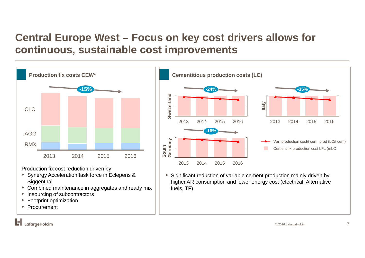# **Central Europe West – Focus on key cost drivers allows for continuous, sustainable cost improvements**



- Synergy Acceleration task force in Eclepens & **Siggenthal**
- Combined maintenance in aggregates and ready mix
- •Insourcing of subcontractors
- $\bullet$ Footprint optimization
- •Procurement

higher AR consumption and lower energy cost (electrical, Alternative fuels, TF)